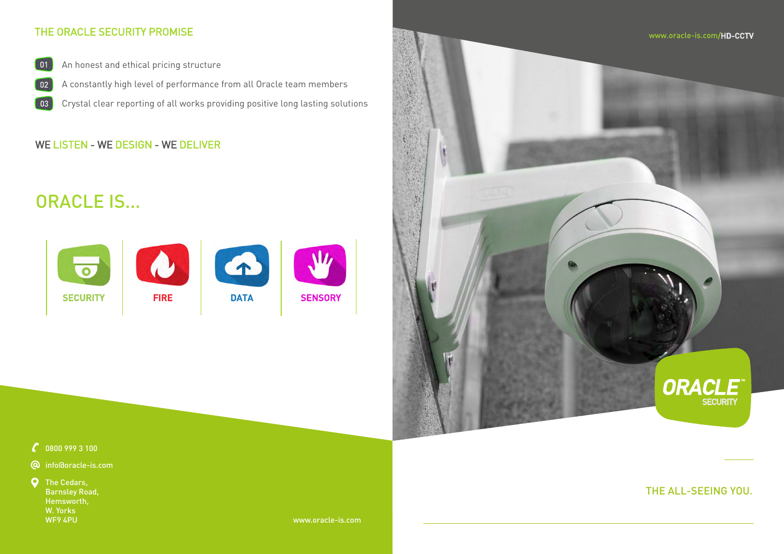

### $\mathcal{C}$  0800 999 3 100

- info@oracle-is.com
- **Q** The Cedars, Barnsley Road, Hemsworth, W. Yorks

WF9 4PU www.oracle-is.com

## THE ALL-SEEING YOU.

# ORACLE IS...



## THE ORACLE SECURITY PROMISE

- An honest and ethical pricing structure  $\begin{bmatrix} 01 \end{bmatrix}$
- A constantly high level of performance from all Oracle team members  $02$
- Crystal clear reporting of all works providing positive long lasting solutions 03

## WE LISTEN - WE DESIGN - WE DELIVER